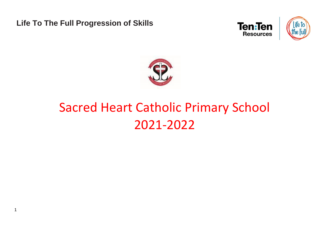**Life To The Full Progression of Skills**

1





## Sacred Heart Catholic Primary School 2021-2022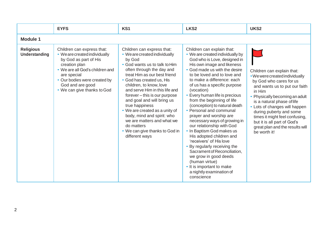|                                   | <b>EYFS</b>                                                                                                                                                                                                                                | KS <sub>1</sub>                                                                                                                                                                                                                                                                                                                                                                                                                                                                                                | LKS <sub>2</sub>                                                                                                                                                                                                                                                                                                                                                                                                                                                                                                                                                                                                                                                                                                                                                  | UKS <sub>2</sub>                                                                                                                                                                                                                                                                                                                                                                   |  |  |
|-----------------------------------|--------------------------------------------------------------------------------------------------------------------------------------------------------------------------------------------------------------------------------------------|----------------------------------------------------------------------------------------------------------------------------------------------------------------------------------------------------------------------------------------------------------------------------------------------------------------------------------------------------------------------------------------------------------------------------------------------------------------------------------------------------------------|-------------------------------------------------------------------------------------------------------------------------------------------------------------------------------------------------------------------------------------------------------------------------------------------------------------------------------------------------------------------------------------------------------------------------------------------------------------------------------------------------------------------------------------------------------------------------------------------------------------------------------------------------------------------------------------------------------------------------------------------------------------------|------------------------------------------------------------------------------------------------------------------------------------------------------------------------------------------------------------------------------------------------------------------------------------------------------------------------------------------------------------------------------------|--|--|
| <b>Module 1</b>                   |                                                                                                                                                                                                                                            |                                                                                                                                                                                                                                                                                                                                                                                                                                                                                                                |                                                                                                                                                                                                                                                                                                                                                                                                                                                                                                                                                                                                                                                                                                                                                                   |                                                                                                                                                                                                                                                                                                                                                                                    |  |  |
| <b>Religious</b><br>Understanding | Children can express that:<br>• We are created individually<br>by God as part of His<br>creation plan<br>• We are all God's children and<br>are special<br>• Our bodies were created by<br>God and are good<br>• We can give thanks to God | Children can express that:<br>• We are created individually<br>by God<br>• God wants us to talk to Him<br>often through the day and<br>treat Him as our best friend<br>• God has created us, His<br>children, to know, love<br>and serve Him in this life and<br>forever - this is our purpose<br>and goal and will bring us<br>true happiness<br>• We are created as a unity of<br>body, mind and spirit: who<br>we are matters and what we<br>do matters<br>• We can give thanks to God in<br>different ways | Children can explain that:<br>• We are created individually by<br>God who is Love, designed in<br>His own image and likeness<br>• God made us with the desire<br>to be loved and to love and<br>to make a difference: each<br>of us has a specific purpose<br>(vocation)<br>• Every human life is precious<br>from the beginning of life<br>(conception) to natural death<br>• Personal and communal<br>prayer and worship are<br>necessary ways of growing in<br>our relationship with God<br>• In Baptism God makes us<br>His adopted children and<br>'receivers' of His love<br>• By regularly receiving the<br>Sacrament of Reconciliation,<br>we grow in good deeds<br>(human virtue)<br>• It is important to make<br>a nightly examination of<br>conscience | Children can explain that:<br>• We were created individually<br>by God who cares for us<br>and wants us to put our faith<br>in Him<br>• Physically becoming an adult<br>is a natural phase of life<br>• Lots of changes will happen<br>during puberty and some<br>times it might feel confusing,<br>but it is all part of God's<br>great plan and the results will<br>be worth it! |  |  |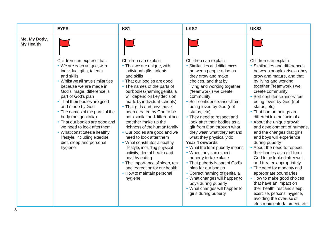|                                  | <b>EYFS</b>                                                                                                                                                                                                                                                                                                                                                                                                                                                                                                   | KS1                                                                                                                                                                                                                                                                                                                                                                                                                                                                                                                                                                                                                                                                                                      | LKS <sub>2</sub>                                                                                                                                                                                                                                                                                                                                                                                                                                                                                                                                                                                                                                                                                                                                            | UKS2                                                                                                                                                                                                                                                                                                                                                                                                                                                                                                                                                                                                                                                                                                                                                                                                                                              |
|----------------------------------|---------------------------------------------------------------------------------------------------------------------------------------------------------------------------------------------------------------------------------------------------------------------------------------------------------------------------------------------------------------------------------------------------------------------------------------------------------------------------------------------------------------|----------------------------------------------------------------------------------------------------------------------------------------------------------------------------------------------------------------------------------------------------------------------------------------------------------------------------------------------------------------------------------------------------------------------------------------------------------------------------------------------------------------------------------------------------------------------------------------------------------------------------------------------------------------------------------------------------------|-------------------------------------------------------------------------------------------------------------------------------------------------------------------------------------------------------------------------------------------------------------------------------------------------------------------------------------------------------------------------------------------------------------------------------------------------------------------------------------------------------------------------------------------------------------------------------------------------------------------------------------------------------------------------------------------------------------------------------------------------------------|---------------------------------------------------------------------------------------------------------------------------------------------------------------------------------------------------------------------------------------------------------------------------------------------------------------------------------------------------------------------------------------------------------------------------------------------------------------------------------------------------------------------------------------------------------------------------------------------------------------------------------------------------------------------------------------------------------------------------------------------------------------------------------------------------------------------------------------------------|
| Me, My Body,<br><b>My Health</b> |                                                                                                                                                                                                                                                                                                                                                                                                                                                                                                               |                                                                                                                                                                                                                                                                                                                                                                                                                                                                                                                                                                                                                                                                                                          |                                                                                                                                                                                                                                                                                                                                                                                                                                                                                                                                                                                                                                                                                                                                                             |                                                                                                                                                                                                                                                                                                                                                                                                                                                                                                                                                                                                                                                                                                                                                                                                                                                   |
|                                  | Children can express that:<br>• We are each unique, with<br>individual gifts, talents<br>and skills<br>• Whilst we all have similarities<br>because we are made in<br>God's image, difference is<br>part of God's plan<br>• That their bodies are good<br>and made by God<br>• The names of the parts of the<br>body (not genitalia)<br>• That our bodies are good and<br>we need to look after them<br>• What constitutes a healthy<br>lifestyle, including exercise,<br>diet, sleep and personal<br>hygiene | Children can explain:<br>• That we are unique, with<br>individual gifts, talents<br>and skills<br>• That our bodies are good<br>• The names of the parts of<br>ourbodies (naming genitalia<br>will depend on key decision<br>made by individual schools)<br>• That girls and boys have<br>been created by God to be<br>both similar and different and<br>together make up the<br>richness of the human family<br>• Our bodies are good and we<br>need to look after them<br>• What constitutes a healthy<br>lifestyle, including physical<br>activity, dental health and<br>healthy eating<br>• The importance of sleep, rest<br>and recreation for our health;<br>• How to maintain personal<br>hygiene | Children can explain:<br>• Similarities and differences<br>between people arise as<br>they grow and make<br>choices, and that by<br>living and working together<br>('teamwork') we create<br>community<br>• Self-confidence arises from<br>being loved by God (not<br>status, etc)<br>• They need to respect and<br>look after their bodies as a<br>gift from God through what<br>they wear, what they eat and<br>what they physically do<br>Year 4 onwards<br>• What the term puberty means<br>• When they can expect<br>puberty to take place<br>• That puberty is part of God's<br>plan for our bodies<br>• Correct naming of genitalia<br>• What changes will happen to<br>boys during puberty<br>• What changes will happen to<br>girls during puberty | Children can explain:<br>• Similarities and differences<br>between people arise as they<br>grow and mature, and that<br>by living and working<br>together ('teamwork') we<br>create community<br>• Self-confidence arises from<br>being loved by God (not<br>status, etc)<br>• That human beings are<br>different to other animals<br>• About the unique growth<br>and development of humans,<br>and the changes that girls<br>and boys will experience<br>during puberty<br>• About the need to respect<br>their bodies as a gift from<br>God to be looked after well,<br>and treated appropriately<br>• The need for modesty and<br>appropriate boundaries<br>• How to make good choices<br>that have an impact on<br>their health: rest and sleep,<br>exercise, personal hygiene,<br>avoiding the overuse of<br>electronic entertainment, etc. |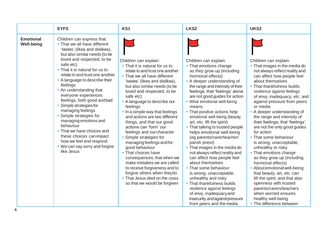|                                       | <b>EYFS</b>                                                                                                                                                                                                                                                                                                                                                                                                                                                                                                                                                                                                                      | KS1                                                                                                                                                                                                                                                                                                                                                                                                                                                                                                                                                                                                                                                                        | LKS <sub>2</sub>                                                                                                                                                                                                                                                                                                                                                                                                                                                                                                                                                                                                                                                              | UKS <sub>2</sub>                                                                                                                                                                                                                                                                                                                                                                                                                                                                                                                                                                                                                                        |
|---------------------------------------|----------------------------------------------------------------------------------------------------------------------------------------------------------------------------------------------------------------------------------------------------------------------------------------------------------------------------------------------------------------------------------------------------------------------------------------------------------------------------------------------------------------------------------------------------------------------------------------------------------------------------------|----------------------------------------------------------------------------------------------------------------------------------------------------------------------------------------------------------------------------------------------------------------------------------------------------------------------------------------------------------------------------------------------------------------------------------------------------------------------------------------------------------------------------------------------------------------------------------------------------------------------------------------------------------------------------|-------------------------------------------------------------------------------------------------------------------------------------------------------------------------------------------------------------------------------------------------------------------------------------------------------------------------------------------------------------------------------------------------------------------------------------------------------------------------------------------------------------------------------------------------------------------------------------------------------------------------------------------------------------------------------|---------------------------------------------------------------------------------------------------------------------------------------------------------------------------------------------------------------------------------------------------------------------------------------------------------------------------------------------------------------------------------------------------------------------------------------------------------------------------------------------------------------------------------------------------------------------------------------------------------------------------------------------------------|
| <b>Emotional</b><br><b>Well-being</b> | Children can express that:<br>• That we all have different<br>'tastes' (likes and dislikes),<br>but also similar needs (to be<br>loved and respected, to be<br>safe etc)<br>• That it is natural for us to<br>relate to and trust one another<br>• A language to describe their<br>feelings<br>• An understanding that<br>everyone experiences<br>feelings, both good and bad<br>Simple strategies for<br>managing feelings<br>Simple strategies for<br>managing emotions and<br>behaviour<br>• That we have choices and<br>these choices can impact<br>how we feel and respond.<br>• We can say sorry and forgive<br>like Jesus | Children can explain:<br>• That it is natural for us to<br>relate to and trust one another<br>• That we all have different<br>'tastes' (likes and dislikes),<br>but also similar needs (to be<br>loved and respected, to be<br>safe etc)<br>• A language to describe our<br>feelings<br>• In a simple way that feelings<br>and actions are two different<br>things, and that our good<br>actions can 'form' our<br>feelings and our character<br>• Simple strategies for<br>managing feelings and for<br>good behaviour<br>• That choices have<br>consequences; that when we<br>make mistakes we are called<br>to receive forgiveness and to<br>forgive others when theydo | Children can explain:<br>• That emotions change<br>as they grow up (including<br>hormonal effects)<br>• A deeper understanding of<br>the range and intensity of their<br>feelings; that 'feelings' alone<br>are not good guides for action<br>• What emotional well-being<br>means;<br>• That positive actions help<br>emotional well-being (beauty,<br>art, etc. lift the spirit)<br>• That talking to trusted people<br>helps emotional well-being<br>(eg parents/carer/teacher/<br>parish priest)<br>• That images in the media do<br>not always reflect reality and<br>can affect how people feel<br>about themselves<br>• That some behaviour<br>is wrong, unacceptable, | Children can explain:<br>• That images in the media do<br>not always reflect reality and<br>can affect how people feel<br>about themselves<br>• That thankfulness builds<br>resilience against feelings<br>of envy, inadequacy, etc. and<br>against pressure from peers<br>or media<br>• A deeper understanding of<br>the range and intensity of<br>their feelings; that 'feelings'<br>are not the only good guides<br>for action<br>• That some behaviour<br>is wrong, unacceptable,<br>unhealthy or risky<br>• That emotions change<br>as they grow up (including<br>hormonal effects)<br>• About emotional well-being:<br>that beauty, art, etc. can |
|                                       |                                                                                                                                                                                                                                                                                                                                                                                                                                                                                                                                                                                                                                  | • That Jesus died on the cross<br>so that we would be forgiven                                                                                                                                                                                                                                                                                                                                                                                                                                                                                                                                                                                                             | unhealthy and risky<br>• That thankfulness builds<br>resilience against feelings<br>of envy, inadequacy and<br>insecurity, and against pressure<br>from peers and the media                                                                                                                                                                                                                                                                                                                                                                                                                                                                                                   | lift the spirit; and that also<br>openness with trusted<br>parents/carers/teachers<br>when worried ensures<br>healthy well-being<br>• The difference between                                                                                                                                                                                                                                                                                                                                                                                                                                                                                            |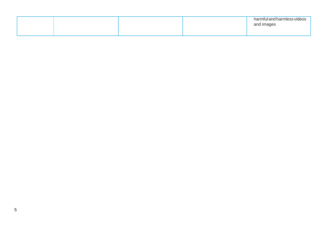|  |  | harmful and harmless videos<br>and images |
|--|--|-------------------------------------------|
|  |  |                                           |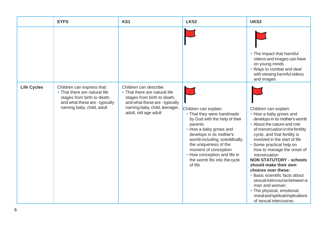|                    | <b>EYFS</b>                                                                                                                                               | KS1                                                                                                                                                                               | LKS <sub>2</sub>                                                                                                                                                                                                                                                                                                    | UKS <sub>2</sub>                                                                                                                                                                                                                                                                                                                                                                                                                                                                                                                                                 |
|--------------------|-----------------------------------------------------------------------------------------------------------------------------------------------------------|-----------------------------------------------------------------------------------------------------------------------------------------------------------------------------------|---------------------------------------------------------------------------------------------------------------------------------------------------------------------------------------------------------------------------------------------------------------------------------------------------------------------|------------------------------------------------------------------------------------------------------------------------------------------------------------------------------------------------------------------------------------------------------------------------------------------------------------------------------------------------------------------------------------------------------------------------------------------------------------------------------------------------------------------------------------------------------------------|
|                    |                                                                                                                                                           |                                                                                                                                                                                   |                                                                                                                                                                                                                                                                                                                     | • The impact that harmful<br>videos and images can have<br>on young minds<br>• Ways to combat and deal<br>with viewing harmful videos<br>and images                                                                                                                                                                                                                                                                                                                                                                                                              |
| <b>Life Cycles</b> | Children can express that:<br>• That there are natural life<br>stages from birth to death,<br>and what these are - typically<br>naming baby, child, adult | Children can describe:<br>• That there are natural life<br>stages from birth to death,<br>and what these are - typically<br>naming baby, child, teenager,<br>adult, old age adult | Children can explain:<br>• That they were handmade<br>by God with the help of their<br>parents<br>• How a baby grows and<br>develops in its mother's<br>womb including, scientifically,<br>the uniqueness of the<br>moment of conception<br>• How conception and life in<br>the womb fits into the cycle<br>of life | Children can explain:<br>• How a baby grows and<br>develops in its mother's womb<br>• About the nature and role<br>of menstruation in the fertility<br>cycle, and that fertility is<br>involved in the start of life<br>• Some practical help on<br>how to manage the onset of<br>menstruation<br><b>NON STATUTORY - schools</b><br>should make their own<br>choices over these:<br>• Basic scientific facts about<br>sexual intercourse between a<br>man and woman;<br>• The physical, emotional,<br>moral and spiritual implications<br>of sexual intercourse: |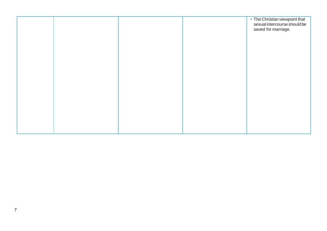|  |  | • The Christian viewpoint that                      |
|--|--|-----------------------------------------------------|
|  |  | sexual intercourse should be<br>saved for marriage. |
|  |  |                                                     |
|  |  |                                                     |
|  |  |                                                     |
|  |  |                                                     |
|  |  |                                                     |
|  |  |                                                     |
|  |  |                                                     |
|  |  |                                                     |
|  |  |                                                     |
|  |  |                                                     |
|  |  |                                                     |
|  |  |                                                     |
|  |  |                                                     |
|  |  |                                                     |
|  |  |                                                     |
|  |  |                                                     |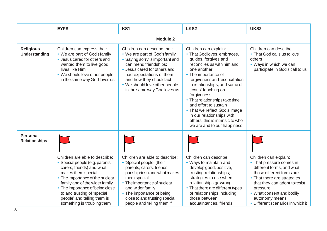|                                         | <b>EYFS</b>                                                                                                                                                                                                                                                                                                             | KS1                                                                                                                                                                                                                                                                                      | LKS <sub>2</sub>                                                                                                                                                                                                                                                                                                                                                                                                                                     | UKS2                                                                                                                                                                                                                                                                        |  |  |
|-----------------------------------------|-------------------------------------------------------------------------------------------------------------------------------------------------------------------------------------------------------------------------------------------------------------------------------------------------------------------------|------------------------------------------------------------------------------------------------------------------------------------------------------------------------------------------------------------------------------------------------------------------------------------------|------------------------------------------------------------------------------------------------------------------------------------------------------------------------------------------------------------------------------------------------------------------------------------------------------------------------------------------------------------------------------------------------------------------------------------------------------|-----------------------------------------------------------------------------------------------------------------------------------------------------------------------------------------------------------------------------------------------------------------------------|--|--|
|                                         | <b>Module 2</b>                                                                                                                                                                                                                                                                                                         |                                                                                                                                                                                                                                                                                          |                                                                                                                                                                                                                                                                                                                                                                                                                                                      |                                                                                                                                                                                                                                                                             |  |  |
| <b>Religious</b><br>Understanding       | Children can express that:<br>• We are part of God'sfamily<br>• Jesus cared for others and<br>wanted them to live good<br>lives like Him<br>• We should love other people<br>in the same way God loves us                                                                                                               | Children can describe that:<br>• We are part of God'sfamily<br>• Saying sorry is important and<br>can mend friendships;<br>• Jesus cared for others and<br>had expectations of them<br>and how they should act<br>• We should love other people<br>in the same way God loves us          | Children can explain:<br>• That God loves, embraces,<br>guides, forgives and<br>reconciles us with him and<br>one another<br>• The importance of<br>forgiveness and reconciliation<br>in relationships, and some of<br>Jesus' teaching on<br>forgiveness<br>• That relationships take time<br>and effort to sustain<br>• That we reflect God's image<br>in our relationships with<br>others: this is intrinsic to who<br>we are and to our happiness | Children can describe:<br>• That God calls us to love<br>others<br>• Ways in which we can<br>participate in God's call to us                                                                                                                                                |  |  |
| <b>Personal</b><br><b>Relationships</b> | Children are able to describe:<br>Special people (e.g. parents,<br>carers, friends) and what<br>makes them special<br>• The importance of the nuclear<br>family and of the wider family<br>• The importance of being close<br>to and trusting of 'special<br>people' and telling them is<br>something is troubling them | Children are able to describe:<br>• 'Special people' (their<br>parents, carers, friends,<br>parish priest) and what makes<br>them special<br>• The importance of nuclear<br>and wider family<br>• The importance of being<br>close to and trusting special<br>people and telling them if | Children can describe:<br>• Ways to maintain and<br>develop good, positive,<br>trusting relationships;<br>strategies to use when<br>relationships gowrong<br>• That there are different types<br>of relationships including<br>those between<br>acquaintances, friends,                                                                                                                                                                              | Children can explain:<br>• That pressure comes in<br>different forms, and what<br>those different forms are<br>• That there are strategies<br>that they can adopt to resist<br>pressure<br>• What consent and bodily<br>autonomy means<br>• Different scenarios in which it |  |  |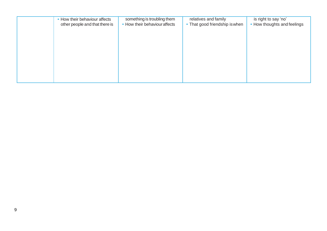| • How their behaviour affects<br>other people and that there is | something is troubling them<br>• How their behaviour affects | relatives and family<br>• That good friendship is when | is right to say 'no'<br>• How thoughts and feelings |
|-----------------------------------------------------------------|--------------------------------------------------------------|--------------------------------------------------------|-----------------------------------------------------|
|                                                                 |                                                              |                                                        |                                                     |
|                                                                 |                                                              |                                                        |                                                     |
|                                                                 |                                                              |                                                        |                                                     |
|                                                                 |                                                              |                                                        |                                                     |
|                                                                 |                                                              |                                                        |                                                     |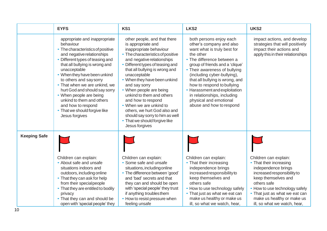|                     | <b>EYFS</b>                                                                                                                                                                                                                                                                                                                                                                                                                                                       | KS1                                                                                                                                                                                                                                                                                                                                                                                                                                                                                                                  | LKS <sub>2</sub>                                                                                                                                                                                                                                                                                                                                                                                                        | UKS <sub>2</sub>                                                                                                                                                                                                                                                             |
|---------------------|-------------------------------------------------------------------------------------------------------------------------------------------------------------------------------------------------------------------------------------------------------------------------------------------------------------------------------------------------------------------------------------------------------------------------------------------------------------------|----------------------------------------------------------------------------------------------------------------------------------------------------------------------------------------------------------------------------------------------------------------------------------------------------------------------------------------------------------------------------------------------------------------------------------------------------------------------------------------------------------------------|-------------------------------------------------------------------------------------------------------------------------------------------------------------------------------------------------------------------------------------------------------------------------------------------------------------------------------------------------------------------------------------------------------------------------|------------------------------------------------------------------------------------------------------------------------------------------------------------------------------------------------------------------------------------------------------------------------------|
|                     | appropriate and inappropriate<br>behaviour<br>• The characteristics of positive<br>and negative relationships<br>• Different types of teasing and<br>that all bullying is wrong and<br>unacceptable<br>• When they have been unkind<br>to others and say sorry<br>• That when we are unkind, we<br>hurt God and should say sorry<br>• When people are being<br>unkind to them and others<br>and how to respond<br>• That we should forgive like<br>Jesus forgives | other people, and that there<br>is appropriate and<br>inappropriate behaviour<br>• The characteristics of positive<br>and negative relationships<br>Different types of teasing and<br>that all bullying is wrong and<br>unacceptable<br>• When they have been unkind<br>and say sorry<br>• When people are being<br>unkind to them and others<br>and how to respond<br>• When we are unkind to<br>others, we hurt God also and<br>should say sorry to him as well<br>• That we should forgive like<br>Jesus forgives | both persons enjoy each<br>other's company and also<br>want what is truly best for<br>the other<br>• The difference between a<br>group of friends and a 'clique'<br>• Their awareness of bullying<br>(including cyber-bullying),<br>that all bullying is wrong, and<br>how to respond to bullying<br>• Harassment and exploitation<br>in relationships, including<br>physical and emotional<br>abuse and how to respond | impact actions, and develop<br>strategies that will positively<br>impact their actions and<br>apply this in their relationships                                                                                                                                              |
| <b>Keeping Safe</b> | Children can explain:<br>• About safe and unsafe<br>situations indoors and<br>outdoors, including online<br>• That they can ask for help<br>from their special people<br>• That they are entitled to bodily<br>privacy<br>• That they can and should be<br>open with 'special people' they                                                                                                                                                                        | Children can explain:<br>• Some safe and unsafe<br>situations, including online<br>• The difference between 'good'<br>and 'bad' secrets and that<br>they can and should be open<br>with 'special people' they trust<br>if anything troubles them<br>• How to resist pressure when<br>feeling unsafe                                                                                                                                                                                                                  | Children can explain:<br>• That their increasing<br>independence brings<br>increased responsibility to<br>keep themselves and<br>others safe<br>• How to use technology safely<br>• That just as what we eat can<br>make us healthy or make us<br>ill, so what we watch, hear,                                                                                                                                          | Children can explain:<br>• That their increasing<br>independence brings<br>increased responsibility to<br>keep themselves and<br>others safe<br>How to use technology safely<br>• That just as what we eat can<br>make us healthy or make us<br>ill, so what we watch, hear, |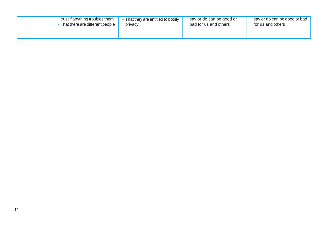| trust if anything troubles them | That they are entitled to bodily | say or do can be good or | say or do can be good or bad |
|---------------------------------|----------------------------------|--------------------------|------------------------------|
| That there are different people | privacy                          | bad for us and others    | for us and others            |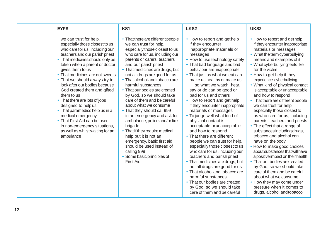| <b>EYFS</b>                                                                                                                                                                                                                                                                                                                                                                                                                                                                                                                                                                                             | KS1                                                                                                                                                                                                                                                                                                                                                                                                                                                                                                                                                                                                                                                                                                                                        | LKS <sub>2</sub>                                                                                                                                                                                                                                                                                                                                                                                                                                                                                                                                                                                                                                                                                                                                                                                                                                                                                                                                 | UKS2                                                                                                                                                                                                                                                                                                                                                                                                                                                                                                                                                                                                                                                                                                                                                                                                                                                                                                                                                           |
|---------------------------------------------------------------------------------------------------------------------------------------------------------------------------------------------------------------------------------------------------------------------------------------------------------------------------------------------------------------------------------------------------------------------------------------------------------------------------------------------------------------------------------------------------------------------------------------------------------|--------------------------------------------------------------------------------------------------------------------------------------------------------------------------------------------------------------------------------------------------------------------------------------------------------------------------------------------------------------------------------------------------------------------------------------------------------------------------------------------------------------------------------------------------------------------------------------------------------------------------------------------------------------------------------------------------------------------------------------------|--------------------------------------------------------------------------------------------------------------------------------------------------------------------------------------------------------------------------------------------------------------------------------------------------------------------------------------------------------------------------------------------------------------------------------------------------------------------------------------------------------------------------------------------------------------------------------------------------------------------------------------------------------------------------------------------------------------------------------------------------------------------------------------------------------------------------------------------------------------------------------------------------------------------------------------------------|----------------------------------------------------------------------------------------------------------------------------------------------------------------------------------------------------------------------------------------------------------------------------------------------------------------------------------------------------------------------------------------------------------------------------------------------------------------------------------------------------------------------------------------------------------------------------------------------------------------------------------------------------------------------------------------------------------------------------------------------------------------------------------------------------------------------------------------------------------------------------------------------------------------------------------------------------------------|
| we can trust for help,<br>especially those closest to us<br>who care for us, including our<br>teachers and our parish priest<br>• That medicines should only be<br>taken when a parent or doctor<br>gives them to us<br>• That medicines are not sweets<br>• That we should always try to<br>look after our bodies because<br>God created them and gifted<br>them to us<br>• That there are lots of jobs<br>designed to help us<br>• That paramedics help us in a<br>medical emergency<br>• That First Aid can be used<br>in non-emergency situations,<br>as well as whilst waiting for an<br>ambulance | • That there are different people<br>we can trust for help,<br>especially those closest to us<br>who care for us, including our<br>parents or carers, teachers<br>and our parish priest<br>• That medicines are drugs, but<br>not all drugs are good for us<br>• That alcohol and tobacco are<br>harmful substances<br>• That our bodies are created<br>by God, so we should take<br>care of them and be careful<br>about what we consume<br>• That they should call 999<br>in an emergency and ask for<br>ambulance, police and/or fire<br>brigade<br>• That if they require medical<br>help but it is not an<br>emergency, basic first aid<br>should be used instead of<br>calling 999<br>• Some basic principles of<br><b>First Aid</b> | • How to report and gethelp<br>if they encounter<br>inappropriate materials or<br>messages<br>• How to use technology safely<br>• That bad language and bad<br>behaviour are inappropriate<br>• That just as what we eat can<br>make us healthy or make us<br>ill, so what we watch, hear,<br>say or do can be good or<br>bad for us and others<br>• How to report and get help<br>if they encounter inappropriate<br>materials or messages<br>• To judge well what kind of<br>physical contact is<br>acceptable or unacceptable<br>and how to respond<br>• That there are different<br>people we can trust for help,<br>especially those closest to us<br>who care for us, including our<br>teachers and parish priest<br>• That medicines are drugs, but<br>not all drugs are good for us<br>• That alcohol and tobacco are<br>harmful substances<br>• That our bodies are created<br>by God, so we should take<br>care of them and be careful | • How to report and gethelp<br>if they encounter inappropriate<br>materials or messages<br>• What the term cyberbullying<br>means and examples of it<br>• What cyberbullying feels like<br>for the victim<br>• How to get help if they<br>experience cyberbullying<br>• What kind of physical contact<br>is acceptable or unacceptable<br>and how to respond<br>• That there are different people<br>we can trust for help,<br>especially those closest to<br>us who care for us, including<br>parents, teachers and priests<br>• The effect that a range of<br>substances including drugs,<br>tobacco and alcohol can<br>have on the body<br>• How to make good choices<br>about substances that will have<br>a positive impact on their health<br>• That our bodies are created<br>by God, so we should take<br>care of them and be careful<br>about what we consume<br>• How they may come under<br>pressure when it comes to<br>drugs, alcohol and tobacco |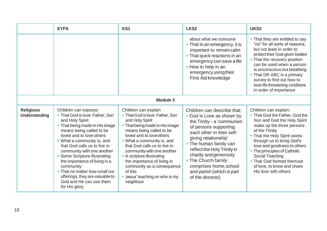|                                          | <b>EYFS</b>                                                                                                                                                                                                                                                                                                                                                                                                                                                       | KS1                                                                                                                                                                                                                                                                                                                                                                                                                   | LKS <sub>2</sub>                                                                                                                                                                                                                                                                                                                                           | UKS <sub>2</sub>                                                                                                                                                                                                                                                                                                                                                         |
|------------------------------------------|-------------------------------------------------------------------------------------------------------------------------------------------------------------------------------------------------------------------------------------------------------------------------------------------------------------------------------------------------------------------------------------------------------------------------------------------------------------------|-----------------------------------------------------------------------------------------------------------------------------------------------------------------------------------------------------------------------------------------------------------------------------------------------------------------------------------------------------------------------------------------------------------------------|------------------------------------------------------------------------------------------------------------------------------------------------------------------------------------------------------------------------------------------------------------------------------------------------------------------------------------------------------------|--------------------------------------------------------------------------------------------------------------------------------------------------------------------------------------------------------------------------------------------------------------------------------------------------------------------------------------------------------------------------|
|                                          |                                                                                                                                                                                                                                                                                                                                                                                                                                                                   |                                                                                                                                                                                                                                                                                                                                                                                                                       | about what we consume<br>• That in an emergency, it is<br>important to remain calm<br>• That quick reactions in an<br>emergency can save a life<br>• How to help in an<br>emergency using their<br>First Aid knowledge                                                                                                                                     | • That they are entitled to say<br>"no" for all sorts of reasons.<br>but not least in order to<br>protect their God-given bodies<br>• That the recovery position<br>can be used when a person<br>is unconscious but breathing<br>• That DR ABC is a primary<br>survey to find out how to<br>treat life-threatening conditions<br>in order of importance                  |
|                                          |                                                                                                                                                                                                                                                                                                                                                                                                                                                                   | Module 3                                                                                                                                                                                                                                                                                                                                                                                                              |                                                                                                                                                                                                                                                                                                                                                            |                                                                                                                                                                                                                                                                                                                                                                          |
| <b>Religious</b><br><b>Understanding</b> | Children can express:<br>• That God is love: Father, Son<br>and Holy Spirit<br>• That being made in His image<br>means being called to be<br>loved and to love others<br>• What a community is, and<br>that God calls us to live in<br>community with one another<br>• Some Scripture illustrating<br>the importance of living in a<br>community<br>• That no matter how small our<br>offerings, they are valuable to<br>God and He can use them<br>for His glory | Children can explain<br>• That God is love: Father, Son<br>and Holy Spirit<br>• That being made in His image<br>means being called to be<br>loved and to love others<br>• What a community is, and<br>that God calls us to live in<br>community with one another<br>• A scripture illustrating<br>the importance of living in<br>community as a consequence<br>of this<br>• Jesus' teaching on who is my<br>neighbour | Children can describe that:<br>• God is Love as shown by<br>the $Trinity - a$ 'communion<br>of persons supporting<br>each other in their self-<br>giving relationship'<br>• The human family can<br>reflect the Holy Trinity in<br>charity and generosity<br>• The Church family<br>comprises home, school<br>and parish (which is part<br>of the diocese) | Children can explain:<br>• That God the Father, God the<br>Son and God the Holy Spirit<br>make up the three persons<br>of the Trinity<br>• That the Holy Spirit works<br>through us to bring God's<br>love and goodness to others<br>• The principles of Catholic<br>Social Teaching<br>• That God formed them out<br>of love, to know and share<br>His love with others |